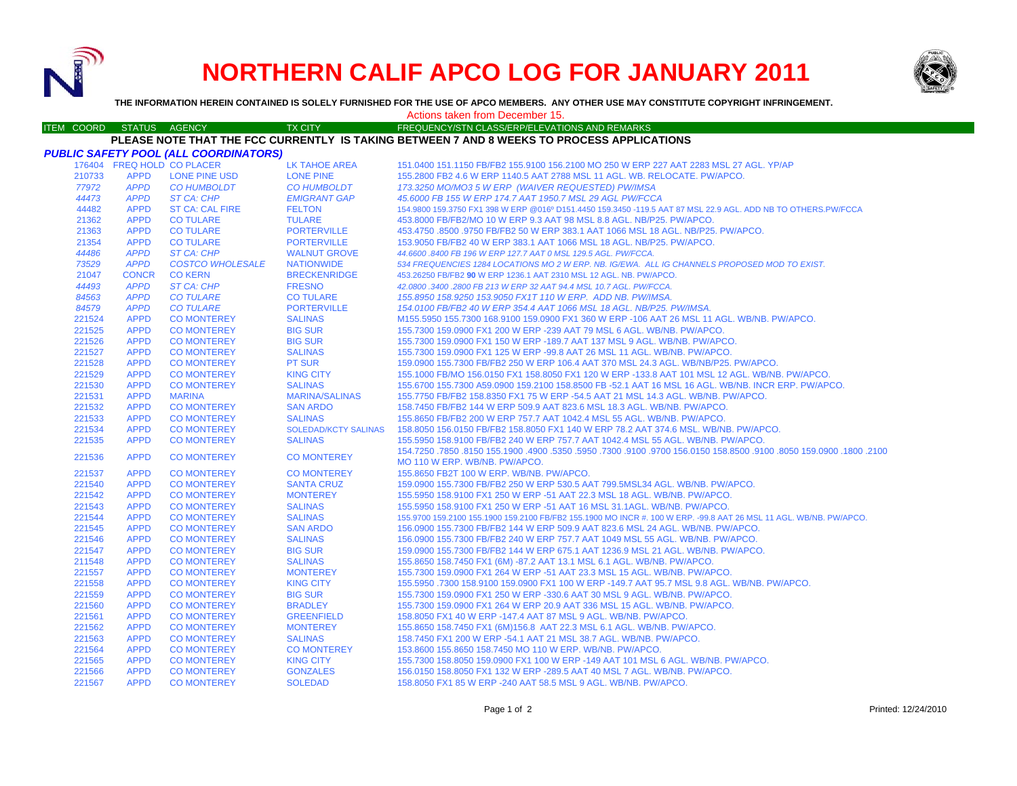

# **NORTHERN CALIF APCO LOG FOR JANUARY 2011**



**THE INFORMATION HEREIN CONTAINED IS SOLELY FURNISHED FOR THE USE OF APCO MEMBERS. ANY OTHER USE MAY CONSTITUTE COPYRIGHT INFRINGEMENT.**

## Actions taken from December 15.

#### ITEM COORD STATUS AGENCY TX CITY TIREQUENCY/STN CLASS/ERP/ELEVATIONS AND REMARKS **PLEASE NOTE THAT THE FCC CURRENTLY IS TAKING BETWEEN 7 AND 8 WEEKS TO PROCESS APPLICATIONS**

|                  |                            | PUBLIC SAFETY POOL (ALL COORDINATORS)    |                                         |                                                                                                                          |
|------------------|----------------------------|------------------------------------------|-----------------------------------------|--------------------------------------------------------------------------------------------------------------------------|
|                  | 176404 FREQ HOLD CO PLACER |                                          | LK TAHOE AREA                           | 151.0400 151.1150 FB/FB2 155.9100 156.2100 MO 250 W ERP 227 AAT 2283 MSL 27 AGL, YP/AP                                   |
| 210733           | <b>APPD</b>                | <b>LONE PINE USD</b>                     | <b>LONE PINE</b>                        | 155,2800 FB2 4.6 W ERP 1140.5 AAT 2788 MSL 11 AGL, WB, RELOCATE, PW/APCO,                                                |
| 77972            | <b>APPD</b>                | <b>CO HUMBOLDT</b>                       | <b>CO HUMBOLDT</b>                      | 173.3250 MO/MO3 5 W ERP (WAIVER REQUESTED) PW/IMSA                                                                       |
| 44473            | <b>APPD</b>                | ST CA: CHP                               | <b>EMIGRANT GAP</b>                     | 45.6000 FB 155 W ERP 174.7 AAT 1950.7 MSL 29 AGL PW/FCCA                                                                 |
| 44482            | <b>APPD</b>                | <b>ST CA: CAL FIRE</b>                   | <b>FELTON</b>                           | 154.9800 159.3750 FX1 398 W ERP @016º D151.4450 159.3450 -119.5 AAT 87 MSL 22.9 AGL. ADD NB TO OTHERS.PW/FCCA            |
| 21362            | <b>APPD</b>                | <b>CO TULARE</b>                         | <b>TULARE</b>                           | 453.8000 FB/FB2/MO 10 W ERP 9.3 AAT 98 MSL 8.8 AGL. NB/P25. PW/APCO.                                                     |
| 21363            | <b>APPD</b>                | <b>CO TULARE</b>                         | <b>PORTERVILLE</b>                      | 453.4750 .8500 .9750 FB/FB2 50 W ERP 383.1 AAT 1066 MSL 18 AGL. NB/P25. PW/APCO.                                         |
| 21354            | <b>APPD</b>                | <b>CO TULARE</b>                         | <b>PORTERVILLE</b>                      | 153,9050 FB/FB2 40 W ERP 383.1 AAT 1066 MSL 18 AGL, NB/P25, PW/APCO.                                                     |
| 44486            | <b>APPD</b>                | ST CA: CHP                               | <b>WALNUT GROVE</b>                     | 44.6600 .8400 FB 196 W ERP 127.7 AAT 0 MSL 129.5 AGL. PW/FCCA.                                                           |
| 73529            | <b>APPD</b>                | <b>COSTCO WHOLESALE</b>                  | <b>NATIONWIDE</b>                       | 534 FREQUENCIES 1284 LOCATIONS MO 2 W ERP. NB. IG/EWA. ALL IG CHANNELS PROPOSED MOD TO EXIST.                            |
| 21047            | <b>CONCR</b>               | <b>CO KERN</b>                           | <b>BRECKENRIDGE</b>                     | 453.26250 FB/FB2 90 W ERP 1236.1 AAT 2310 MSL 12 AGL. NB. PW/APCO.                                                       |
| 44493            | <b>APPD</b>                | <b>ST CA: CHP</b>                        | <b>FRESNO</b>                           | 42.0800 .3400 .2800 FB 213 W ERP 32 AAT 94.4 MSL 10.7 AGL. PW/FCCA.                                                      |
| 84563            | <b>APPD</b>                | <b>CO TULARE</b>                         | <b>CO TULARE</b>                        | 155.8950 158.9250 153.9050 FX1T 110 W ERP. ADD NB. PW/IMSA.                                                              |
| 84579            | <b>APPD</b>                | <b>CO TULARE</b>                         | <b>PORTERVILLE</b>                      | 154.0100 FB/FB2 40 W ERP 354.4 AAT 1066 MSL 18 AGL. NB/P25. PW/IMSA.                                                     |
| 221524           | <b>APPD</b>                | <b>CO MONTEREY</b>                       | <b>SALINAS</b>                          | M155.5950 155.7300 168.9100 159.0900 FX1 360 W ERP -106 AAT 26 MSL 11 AGL, WB/NB, PW/APCO,                               |
| 221525           | <b>APPD</b>                | <b>CO MONTEREY</b>                       | <b>BIG SUR</b>                          | 155,7300 159,0900 FX1 200 W ERP -239 AAT 79 MSL 6 AGL, WB/NB, PW/APCO,                                                   |
| 221526           | <b>APPD</b>                | <b>CO MONTEREY</b>                       | <b>BIG SUR</b>                          | 155.7300 159.0900 FX1 150 W ERP -189.7 AAT 137 MSL 9 AGL, WB/NB, PW/APCO,                                                |
| 221527           | <b>APPD</b>                | <b>CO MONTEREY</b>                       | <b>SALINAS</b>                          | 155.7300 159.0900 FX1 125 W ERP -99.8 AAT 26 MSL 11 AGL. WB/NB. PW/APCO.                                                 |
| 221528           | <b>APPD</b>                | <b>CO MONTEREY</b>                       | <b>PT SUR</b>                           | 159,0900 155,7300 FB/FB2 250 W ERP 106.4 AAT 370 MSL 24.3 AGL, WB/NB/P25, PW/APCO,                                       |
| 221529           | <b>APPD</b>                | <b>CO MONTEREY</b>                       | <b>KING CITY</b>                        | 155.1000 FB/MO 156.0150 FX1 158.8050 FX1 120 W ERP -133.8 AAT 101 MSL 12 AGL. WB/NB. PW/APCO.                            |
| 221530           | <b>APPD</b>                | <b>CO MONTEREY</b>                       | <b>SALINAS</b>                          | 155.6700 155.7300 A59.0900 159.2100 158.8500 FB -52.1 AAT 16 MSL 16 AGL. WB/NB. INCR ERP. PW/APCO.                       |
| 221531           | <b>APPD</b>                | <b>MARINA</b>                            | <b>MARINA/SALINAS</b>                   | 155,7750 FB/FB2 158,8350 FX1 75 W ERP -54,5 AAT 21 MSL 14.3 AGL, WB/NB, PW/APCO,                                         |
| 221532           | <b>APPD</b>                | <b>CO MONTEREY</b>                       | <b>SAN ARDO</b>                         | 158.7450 FB/FB2 144 W ERP 509.9 AAT 823.6 MSL 18.3 AGL, WB/NB, PW/APCO,                                                  |
| 221533           | <b>APPD</b>                | <b>CO MONTEREY</b>                       | <b>SALINAS</b>                          | 155,8650 FB/FB2 200 W ERP 757.7 AAT 1042.4 MSL 55 AGL, WB/NB, PW/APCO,                                                   |
| 221534           | <b>APPD</b>                | <b>CO MONTEREY</b>                       | <b>SOLEDAD/KCTY SALINAS</b>             | 158,8050 156,0150 FB/FB2 158,8050 FX1 140 W ERP 78.2 AAT 374.6 MSL, WB/NB, PW/APCO,                                      |
| 221535           | <b>APPD</b>                | <b>CO MONTEREY</b>                       | <b>SALINAS</b>                          | 155.5950 158.9100 FB/FB2 240 W ERP 757.7 AAT 1042.4 MSL 55 AGL. WB/NB. PW/APCO.                                          |
| 221536           | <b>APPD</b>                | <b>CO MONTEREY</b>                       | <b>CO MONTEREY</b>                      | 100. 1800. 1800. 1800 159.0900. 158.8500. 158.8500. 168.0150 154.7250. 159.0150. 154.7250 154.7250. 154.7250. 154.7250   |
|                  |                            |                                          |                                         | MO 110 W ERP. WB/NB. PW/APCO.                                                                                            |
| 221537<br>221540 | <b>APPD</b><br><b>APPD</b> | <b>CO MONTEREY</b><br><b>CO MONTEREY</b> | <b>CO MONTEREY</b><br><b>SANTA CRUZ</b> | 155.8650 FB2T 100 W ERP. WB/NB. PW/APCO.<br>159,0900 155,7300 FB/FB2 250 W ERP 530.5 AAT 799,5MSL34 AGL, WB/NB, PW/APCO, |
| 221542           | <b>APPD</b>                | <b>CO MONTEREY</b>                       | <b>MONTEREY</b>                         | 155,5950 158,9100 FX1 250 W ERP -51 AAT 22.3 MSL 18 AGL, WB/NB, PW/APCO,                                                 |
| 221543           | <b>APPD</b>                | <b>CO MONTEREY</b>                       | <b>SALINAS</b>                          | 155.5950 158.9100 FX1 250 W ERP -51 AAT 16 MSL 31.1AGL. WB/NB. PW/APCO.                                                  |
| 221544           | <b>APPD</b>                | <b>CO MONTEREY</b>                       | <b>SALINAS</b>                          | 155.9700 159.2100 155.1900 159.2100 FB/FB2 155.1900 MO INCR #. 100 W ERP. -99.8 AAT 26 MSL 11 AGL. WB/NB. PW/APCO.       |
| 221545           | <b>APPD</b>                | <b>CO MONTEREY</b>                       | <b>SAN ARDO</b>                         | 156,0900 155,7300 FB/FB2 144 W ERP 509.9 AAT 823.6 MSL 24 AGL, WB/NB, PW/APCO,                                           |
| 221546           | <b>APPD</b>                | <b>CO MONTEREY</b>                       | <b>SALINAS</b>                          | 156.0900 155.7300 FB/FB2 240 W ERP 757.7 AAT 1049 MSL 55 AGL. WB/NB. PW/APCO.                                            |
| 221547           | <b>APPD</b>                | <b>CO MONTEREY</b>                       | <b>BIG SUR</b>                          | 159,0900 155,7300 FB/FB2 144 W ERP 675.1 AAT 1236.9 MSL 21 AGL, WB/NB, PW/APCO,                                          |
| 211548           | <b>APPD</b>                | <b>CO MONTEREY</b>                       | <b>SALINAS</b>                          | 155.8650 158.7450 FX1 (6M) -87.2 AAT 13.1 MSL 6.1 AGL. WB/NB. PW/APCO.                                                   |
| 221557           | <b>APPD</b>                | <b>CO MONTEREY</b>                       | <b>MONTEREY</b>                         | 155.7300 159.0900 FX1 264 W ERP -51 AAT 23.3 MSL 15 AGL. WB/NB. PW/APCO.                                                 |
| 221558           | <b>APPD</b>                | <b>CO MONTEREY</b>                       | <b>KING CITY</b>                        | 155.5950 .7300 158.9100 159.0900 FX1 100 W ERP -149.7 AAT 95.7 MSL 9.8 AGL. WB/NB. PW/APCO.                              |
| 221559           | <b>APPD</b>                | <b>CO MONTEREY</b>                       | <b>BIG SUR</b>                          | 155.7300 159.0900 FX1 250 W ERP -330.6 AAT 30 MSL 9 AGL, WB/NB, PW/APCO,                                                 |
| 221560           | <b>APPD</b>                | <b>CO MONTEREY</b>                       | <b>BRADLEY</b>                          | 155,7300 159,0900 FX1 264 W ERP 20.9 AAT 336 MSL 15 AGL, WB/NB, PW/APCO,                                                 |
| 221561           | <b>APPD</b>                | <b>CO MONTEREY</b>                       | <b>GREENFIELD</b>                       | 158.8050 FX1 40 W ERP -147.4 AAT 87 MSL 9 AGL. WB/NB. PW/APCO.                                                           |
| 221562           | <b>APPD</b>                | <b>CO MONTEREY</b>                       | <b>MONTEREY</b>                         | 155,8650 158,7450 FX1 (6M)156.8 AAT 22.3 MSL 6.1 AGL, WB/NB, PW/APCO.                                                    |
| 221563           | <b>APPD</b>                | <b>CO MONTEREY</b>                       | <b>SALINAS</b>                          | 158.7450 FX1 200 W ERP -54.1 AAT 21 MSL 38.7 AGL, WB/NB, PW/APCO,                                                        |
| 221564           | <b>APPD</b>                | <b>CO MONTEREY</b>                       | <b>CO MONTEREY</b>                      | 153.8600 155.8650 158.7450 MO 110 W ERP. WB/NB. PW/APCO.                                                                 |
| 221565           | <b>APPD</b>                | <b>CO MONTEREY</b>                       | <b>KING CITY</b>                        | 155.7300 158.8050 159.0900 FX1 100 W ERP -149 AAT 101 MSL 6 AGL. WB/NB. PW/APCO.                                         |
| 221566           | <b>APPD</b>                | <b>CO MONTEREY</b>                       | <b>GONZALES</b>                         | 156,0150 158,8050 FX1 132 W ERP -289.5 AAT 40 MSL 7 AGL, WB/NB, PW/APCO,                                                 |
| 221567           | <b>APPD</b>                | <b>CO MONTEREY</b>                       | <b>SOLEDAD</b>                          | 158.8050 FX1 85 W ERP -240 AAT 58.5 MSL 9 AGL. WB/NB. PW/APCO.                                                           |